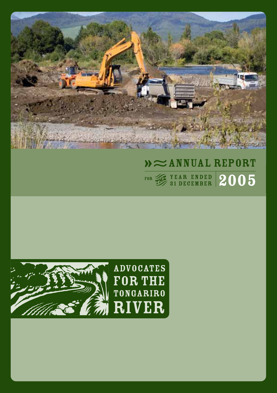

# $\mathcal{W} \approx$  ANNUAL REPORT  $\frac{1}{2}$   $\frac{1}{2}$   $\frac{1}{2}$   $\frac{1}{2}$   $\frac{1}{2}$   $\frac{1}{2}$   $\frac{1}{2}$   $\frac{1}{2}$   $\frac{1}{2}$   $\frac{1}{2}$   $\frac{1}{2}$   $\frac{1}{2}$   $\frac{1}{2}$   $\frac{1}{2}$   $\frac{1}{2}$   $\frac{1}{2}$   $\frac{1}{2}$   $\frac{1}{2}$   $\frac{1}{2}$   $\frac{1}{2}$   $\frac{1}{2}$   $\frac{1}{2}$



**ADVOCATES FOR THE TONGARIRO** RIVER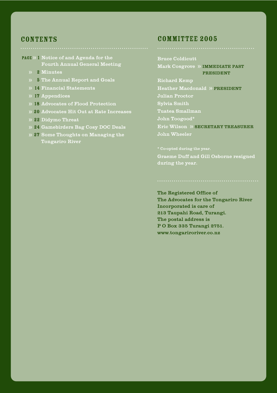#### **CONTENTS**

- PAGE » 1 Notice of and Agenda for the Fourth Annual General Meeting
	- 2 Minutes
	- 5 The Annual Report and Goals
	- 14 Financial Statements
	- 17 Appendices
	- 18 Advocates of Flood Protection
	- 20 Advocates Hit Out at Rate Increases
	- 22 Didymo Threat
	- 24 Gamebirders Bag Cosy DOC Deals
	- 27 Some Thoughts on Managing the Tongariro River

#### CoMMITTEE 2005

Bruce Coldicutt Mark Cosgrove » IMMEDIATE PAST PRESIDENT Richard Kemp

Heather Macdonald » PRESIDENT Julian Proctor Sylvia Smith Tuatea Smallman John Toogood\* Eric Wilson » SECRETARY TREASURER

John Wheeler

Graeme Duff and Gill Osborne resigned during the year.

The Registered Office of The Advocates for the Tongariro River Incorporated is care of 213 Taupahi Road, Turangi. The postal address is P O Box 335 Turangi 2751. www.tongariroriver.co.nz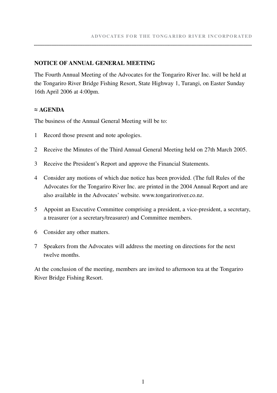#### **NOTICE OF ANNUAL GENERAL MEETING**

The Fourth Annual Meeting of the Advocates for the Tongariro River Inc. will be held at the Tongariro River Bridge Fishing Resort, State Highway 1, Turangi, on Easter Sunday 16th April 2006 at 4:00pm.

#### **≈ AGENDA**

The business of the Annual General Meeting will be to:

- 1 Record those present and note apologies.
- 2 Receive the Minutes of the Third Annual General Meeting held on 27th March 2005.
- 3 Receive the President's Report and approve the Financial Statements.
- 4 Consider any motions of which due notice has been provided. (The full Rules of the Advocates for the Tongariro River Inc. are printed in the 2004 Annual Report and are also available in the Advocates' website. www.tongariroriver.co.nz.
- 5 Appoint an Executive Committee comprising a president, a vice-president, a secretary, a treasurer (or a secretary/treasurer) and Committee members.
- 6 Consider any other matters.
- 7 Speakers from the Advocates will address the meeting on directions for the next twelve months.

At the conclusion of the meeting, members are invited to afternoon tea at the Tongariro River Bridge Fishing Resort.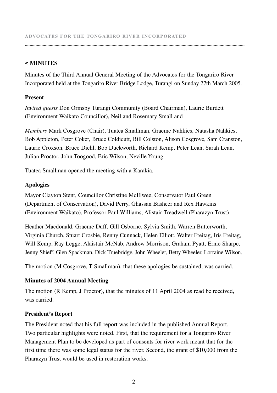#### **≈ MINUTES**

Minutes of the Third Annual General Meeting of the Advocates for the Tongariro River Incorporated held at the Tongariro River Bridge Lodge, Turangi on Sunday 27th March 2005.

**.........................................................................................................................................................................................**

#### **Present**

*Invited guests* Don Ormsby Turangi Community (Board Chairman), Laurie Burdett (Environment Waikato Councillor), Neil and Rosemary Small and

*Members* Mark Cosgrove (Chair), Tuatea Smallman, Graeme Nahkies, Natasha Nahkies, Bob Appleton, Peter Coker, Bruce Coldicutt, Bill Colston, Alison Cosgrove, Sam Cranston, Laurie Croxson, Bruce Diehl, Bob Duckworth, Richard Kemp, Peter Lean, Sarah Lean, Julian Proctor, John Toogood, Eric Wilson, Neville Young.

Tuatea Smallman opened the meeting with a Karakia.

#### **Apologies**

Mayor Clayton Stent, Councillor Christine McElwee, Conservator Paul Green (Department of Conservation), David Perry, Ghassan Basheer and Rex Hawkins (Environment Waikato), Professor Paul Williams, Alistair Treadwell (Pharazyn Trust)

Heather Macdonald, Graeme Duff, Gill Osborne, Sylvia Smith, Warren Butterworth, Virginia Church, Stuart Crosbie, Renny Cunnack, Helen Elliott, Walter Freitag, Iris Freitag, Will Kemp, Ray Legge, Alaistair McNab, Andrew Morrison, Graham Pyatt, Ernie Sharpe, Jenny Shieff, Glen Spackman, Dick Truebridge, John Wheeler, Betty Wheeler, Lorraine Wilson.

The motion (M Cosgrove, T Smallman), that these apologies be sustained, was carried.

#### **Minutes of 2004 Annual Meeting**

The motion (R Kemp, J Proctor), that the minutes of 11 April 2004 as read be received, was carried.

#### **President's Report**

The President noted that his full report was included in the published Annual Report. Two particular highlights were noted. First, that the requirement for a Tongariro River Management Plan to be developed as part of consents for river work meant that for the first time there was some legal status for the river. Second, the grant of \$10,000 from the Pharazyn Trust would be used in restoration works.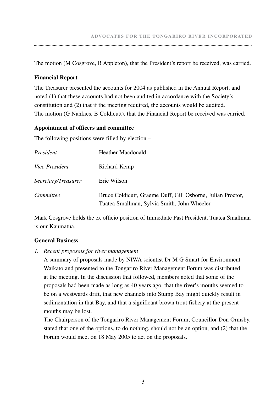The motion (M Cosgrove, B Appleton), that the President's report be received, was carried.

#### **Financial Report**

The Treasurer presented the accounts for 2004 as published in the Annual Report, and noted (1) that these accounts had not been audited in accordance with the Society's constitution and (2) that if the meeting required, the accounts would be audited. The motion (G Nahkies, B Coldicutt), that the Financial Report be received was carried.

#### **Appointment of officers and committee**

The following positions were filled by election –

| President             | <b>Heather Macdonald</b>                                                                                   |
|-----------------------|------------------------------------------------------------------------------------------------------------|
| <i>Vice President</i> | Richard Kemp                                                                                               |
| Secretary/Treasurer   | Eric Wilson                                                                                                |
| Committee             | Bruce Coldicutt, Graeme Duff, Gill Osborne, Julian Proctor,<br>Tuatea Smallman, Sylvia Smith, John Wheeler |

Mark Cosgrove holds the ex officio position of Immediate Past President. Tuatea Smallman is our Kaumatua.

#### **General Business**

*1. Recent proposals for river management*

 A summary of proposals made by NIWA scientist Dr M G Smart for Environment Waikato and presented to the Tongariro River Management Forum was distributed at the meeting. In the discussion that followed, members noted that some of the proposals had been made as long as 40 years ago, that the river's mouths seemed to be on a westwards drift, that new channels into Stump Bay might quickly result in sedimentation in that Bay, and that a significant brown trout fishery at the present mouths may be lost.

 The Chairperson of the Tongariro River Management Forum, Councillor Don Ormsby, stated that one of the options, to do nothing, should not be an option, and (2) that the Forum would meet on 18 May 2005 to act on the proposals.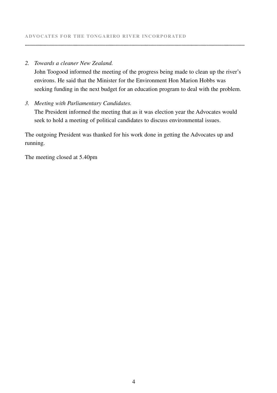#### *2. Towards a cleaner New Zealand.*

 John Toogood informed the meeting of the progress being made to clean up the river's environs. He said that the Minister for the Environment Hon Marion Hobbs was seeking funding in the next budget for an education program to deal with the problem.

**.........................................................................................................................................................................................**

#### *3. Meeting with Parliamentary Candidates.*

 The President informed the meeting that as it was election year the Advocates would seek to hold a meeting of political candidates to discuss environmental issues.

The outgoing President was thanked for his work done in getting the Advocates up and running.

The meeting closed at 5.40pm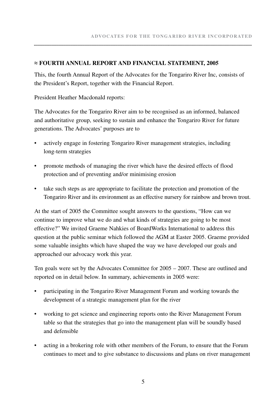#### **≈ FOURTH ANNUAL REPORT AND FINANCIAL STATEMENT, 2005**

This, the fourth Annual Report of the Advocates for the Tongariro River Inc, consists of the President's Report, together with the Financial Report.

President Heather Macdonald reports:

The Advocates for the Tongariro River aim to be recognised as an informed, balanced and authoritative group, seeking to sustain and enhance the Tongariro River for future generations. The Advocates' purposes are to

- actively engage in fostering Tongariro River management strategies, including long-term strategies
- promote methods of managing the river which have the desired effects of flood protection and of preventing and/or minimising erosion
- take such steps as are appropriate to facilitate the protection and promotion of the Tongariro River and its environment as an effective nursery for rainbow and brown trout.

At the start of 2005 the Committee sought answers to the questions, "How can we continue to improve what we do and what kinds of strategies are going to be most effective?" We invited Graeme Nahkies of BoardWorks International to address this question at the public seminar which followed the AGM at Easter 2005. Graeme provided some valuable insights which have shaped the way we have developed our goals and approached our advocacy work this year.

Ten goals were set by the Advocates Committee for 2005 – 2007. These are outlined and reported on in detail below. In summary, achievements in 2005 were:

- participating in the Tongariro River Management Forum and working towards the development of a strategic management plan for the river
- working to get science and engineering reports onto the River Management Forum table so that the strategies that go into the management plan will be soundly based and defensible
- acting in a brokering role with other members of the Forum, to ensure that the Forum continues to meet and to give substance to discussions and plans on river management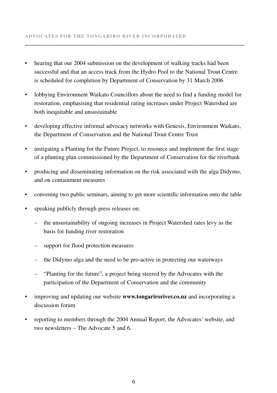• hearing that our 2004 submission on the development of walking tracks had been successful and that an access track from the Hydro Pool to the National Trout Centre is scheduled for completion by Department of Conservation by 31 March 2006

**.........................................................................................................................................................................................**

- lobbying Environment Waikato Councillors about the need to find a funding model for restoration, emphasising that residential rating increases under Project Watershed are both inequitable and unsustainable
- developing effective informal advocacy networks with Genesis, Environment Waikato, the Department of Conservation and the National Trout Centre Trust
- instigating a Planting for the Future Project, to resource and implement the first stage of a planting plan commissioned by the Department of Conservation for the riverbank
- producing and disseminating information on the risk associated with the alga Didymo, and on containment measures
- convening two public seminars, aiming to get more scientific information onto the table
- speaking publicly through press releases on:
	- the unsustainability of ongoing increases in Project Watershed rates levy as the basis for funding river restoration
	- support for flood protection measures
	- the Didymo alga and the need to be pro-active in protecting our waterways
	- "Planting for the future", a project being steered by the Advocates with the participation of the Department of Conservation and the community
- improving and updating our website **www.tongariroriver.co.nz** and incorporating a discussion forum
- reporting to members through the 2004 Annual Report, the Advocates' website, and two newsletters – The Advocate 5 and 6.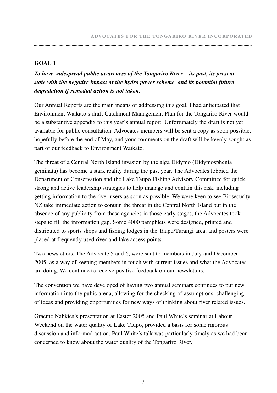#### **GOAL 1**

### *To have widespread public awareness of the Tongariro River – its past, its present state with the negative impact of the hydro power scheme, and its potential future degradation if remedial action is not taken.*

Our Annual Reports are the main means of addressing this goal. I had anticipated that Environment Waikato's draft Catchment Management Plan for the Tongariro River would be a substantive appendix to this year's annual report. Unfortunately the draft is not yet available for public consultation. Advocates members will be sent a copy as soon possible, hopefully before the end of May, and your comments on the draft will be keenly sought as part of our feedback to Environment Waikato.

The threat of a Central North Island invasion by the alga Didymo (Didymosphenia geminata) has become a stark reality during the past year. The Advocates lobbied the Department of Conservation and the Lake Taupo Fishing Advisory Committee for quick, strong and active leadership strategies to help manage and contain this risk, including getting information to the river users as soon as possible. We were keen to see Biosecurity NZ take immediate action to contain the threat in the Central North Island but in the absence of any publicity from these agencies in those early stages, the Advocates took steps to fill the information gap. Some 4000 pamphlets were designed, printed and distributed to sports shops and fishing lodges in the Taupo/Turangi area, and posters were placed at frequently used river and lake access points.

Two newsletters, The Advocate 5 and 6, were sent to members in July and December 2005, as a way of keeping members in touch with current issues and what the Advocates are doing. We continue to receive positive feedback on our newsletters.

The convention we have developed of having two annual seminars continues to put new information into the pubic arena, allowing for the checking of assumptions, challenging of ideas and providing opportunities for new ways of thinking about river related issues.

Graeme Nahkies's presentation at Easter 2005 and Paul White's seminar at Labour Weekend on the water quality of Lake Taupo, provided a basis for some rigorous discussion and informed action. Paul White's talk was particularly timely as we had been concerned to know about the water quality of the Tongariro River.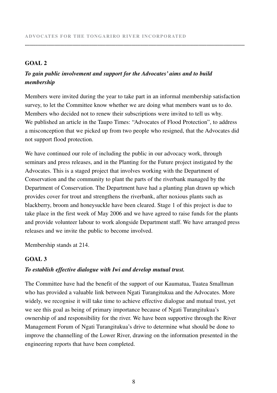#### **GOAL 2**

#### *To gain public involvement and support for the Advocates' aims and to build membership*

Members were invited during the year to take part in an informal membership satisfaction survey, to let the Committee know whether we are doing what members want us to do. Members who decided not to renew their subscriptions were invited to tell us why. We published an article in the Taupo Times: "Advocates of Flood Protection", to address a misconception that we picked up from two people who resigned, that the Advocates did not support flood protection.

**.........................................................................................................................................................................................**

We have continued our role of including the public in our advocacy work, through seminars and press releases, and in the Planting for the Future project instigated by the Advocates. This is a staged project that involves working with the Department of Conservation and the community to plant the parts of the riverbank managed by the Department of Conservation. The Department have had a planting plan drawn up which provides cover for trout and strengthens the riverbank, after noxious plants such as blackberry, broom and honeysuckle have been cleared. Stage 1 of this project is due to take place in the first week of May 2006 and we have agreed to raise funds for the plants and provide volunteer labour to work alongside Department staff. We have arranged press releases and we invite the public to become involved.

Membership stands at 214.

#### **GOAL 3**

#### *To establish effective dialogue with Iwi and develop mutual trust.*

The Committee have had the benefit of the support of our Kaumatua, Tuatea Smallman who has provided a valuable link between Ngati Turangitukua and the Advocates. More widely, we recognise it will take time to achieve effective dialogue and mutual trust, yet we see this goal as being of primary importance because of Ngati Turangitukua's ownership of and responsibility for the river. We have been supportive through the River Management Forum of Ngati Turangitukua's drive to determine what should be done to improve the channelling of the Lower River, drawing on the information presented in the engineering reports that have been completed.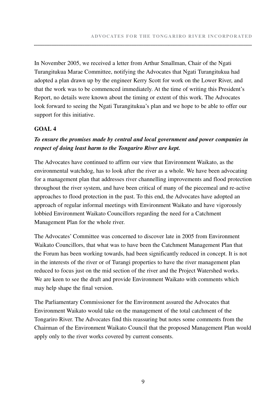In November 2005, we received a letter from Arthur Smallman, Chair of the Ngati Turangitukua Marae Committee, notifying the Advocates that Ngati Turangitukua had adopted a plan drawn up by the engineer Kerry Scott for work on the Lower River, and that the work was to be commenced immediately. At the time of writing this President's Report, no details were known about the timing or extent of this work. The Advocates look forward to seeing the Ngati Turangitukua's plan and we hope to be able to offer our support for this initiative.

#### **GOAL 4**

#### *To ensure the promises made by central and local government and power companies in respect of doing least harm to the Tongariro River are kept.*

The Advocates have continued to affirm our view that Environment Waikato, as the environmental watchdog, has to look after the river as a whole. We have been advocating for a management plan that addresses river channelling improvements and flood protection throughout the river system, and have been critical of many of the piecemeal and re-active approaches to flood protection in the past. To this end, the Advocates have adopted an approach of regular informal meetings with Environment Waikato and have vigorously lobbied Environment Waikato Councillors regarding the need for a Catchment Management Plan for the whole river.

The Advocates' Committee was concerned to discover late in 2005 from Environment Waikato Councillors, that what was to have been the Catchment Management Plan that the Forum has been working towards, had been significantly reduced in concept. It is not in the interests of the river or of Turangi properties to have the river management plan reduced to focus just on the mid section of the river and the Project Watershed works. We are keen to see the draft and provide Environment Waikato with comments which may help shape the final version.

The Parliamentary Commissioner for the Environment assured the Advocates that Environment Waikato would take on the management of the total catchment of the Tongariro River. The Advocates find this reassuring but notes some comments from the Chairman of the Environment Waikato Council that the proposed Management Plan would apply only to the river works covered by current consents.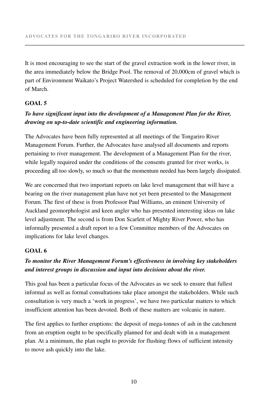It is most encouraging to see the start of the gravel extraction work in the lower river, in the area immediately below the Bridge Pool. The removal of 20,000cm of gravel which is part of Environment Waikato's Project Watershed is scheduled for completion by the end of March.

**.........................................................................................................................................................................................**

#### **GOAL 5**

#### *To have significant input into the development of a Management Plan for the River, drawing on up-to-date scientific and engineering information.*

The Advocates have been fully represented at all meetings of the Tongariro River Management Forum. Further, the Advocates have analysed all documents and reports pertaining to river management. The development of a Management Plan for the river, while legally required under the conditions of the consents granted for river works, is proceeding all too slowly, so much so that the momentum needed has been largely dissipated.

We are concerned that two important reports on lake level management that will have a bearing on the river management plan have not yet been presented to the Management Forum. The first of these is from Professor Paul Williams, an eminent University of Auckland geomorphologist and keen angler who has presented interesting ideas on lake level adjustment. The second is from Don Scarlett of Mighty River Power, who has informally presented a draft report to a few Committee members of the Advocates on implications for lake level changes.

#### **GOAL 6**

### *To monitor the River Management Forum's effectiveness in involving key stakeholders and interest groups in discussion and input into decisions about the river.*

This goal has been a particular focus of the Advocates as we seek to ensure that fullest informal as well as formal consultations take place amongst the stakeholders. While such consultation is very much a 'work in progress', we have two particular matters to which insufficient attention has been devoted. Both of these matters are volcanic in nature.

The first applies to further eruptions: the deposit of mega-tonnes of ash in the catchment from an eruption ought to be specifically planned for and dealt with in a management plan. At a minimum, the plan ought to provide for flushing flows of sufficient intensity to move ash quickly into the lake.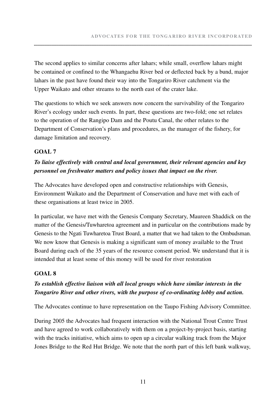The second applies to similar concerns after lahars; while small, overflow lahars might be contained or confined to the Whangaehu River bed or deflected back by a bund, major lahars in the past have found their way into the Tongariro River catchment via the Upper Waikato and other streams to the north east of the crater lake.

The questions to which we seek answers now concern the survivability of the Tongariro River's ecology under such events. In part, these questions are two-fold; one set relates to the operation of the Rangipo Dam and the Poutu Canal, the other relates to the Department of Conservation's plans and procedures, as the manager of the fishery, for damage limitation and recovery.

#### **GOAL 7**

#### *To liaise effectively with central and local government, their relevant agencies and key personnel on freshwater matters and policy issues that impact on the river.*

The Advocates have developed open and constructive relationships with Genesis, Environment Waikato and the Department of Conservation and have met with each of these organisations at least twice in 2005.

In particular, we have met with the Genesis Company Secretary, Maureen Shaddick on the matter of the Genesis/Tuwharetoa agreement and in particular on the contributions made by Genesis to the Ngati Tuwharetoa Trust Board, a matter that we had taken to the Ombudsman. We now know that Genesis is making a significant sum of money available to the Trust Board during each of the 35 years of the resource consent period. We understand that it is intended that at least some of this money will be used for river restoration

#### **GOAL 8**

### *To establish effective liaison with all local groups which have similar interests in the Tongariro River and other rivers, with the purpose of co-ordinating lobby and action.*

The Advocates continue to have representation on the Taupo Fishing Advisory Committee.

During 2005 the Advocates had frequent interaction with the National Trout Centre Trust and have agreed to work collaboratively with them on a project-by-project basis, starting with the tracks initiative, which aims to open up a circular walking track from the Major Jones Bridge to the Red Hut Bridge. We note that the north part of this left bank walkway,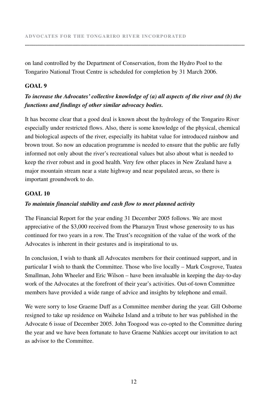on land controlled by the Department of Conservation, from the Hydro Pool to the Tongariro National Trout Centre is scheduled for completion by 31 March 2006.

**.........................................................................................................................................................................................**

#### **GOAL 9**

#### *To increase the Advocates' collective knowledge of (a) all aspects of the river and (b) the functions and findings of other similar advocacy bodies.*

It has become clear that a good deal is known about the hydrology of the Tongariro River especially under restricted flows. Also, there is some knowledge of the physical, chemical and biological aspects of the river, especially its habitat value for introduced rainbow and brown trout. So now an education programme is needed to ensure that the public are fully informed not only about the river's recreational values but also about what is needed to keep the river robust and in good health. Very few other places in New Zealand have a major mountain stream near a state highway and near populated areas, so there is important groundwork to do.

#### **GOAL 10**

#### *To maintain financial stability and cash flow to meet planned activity*

The Financial Report for the year ending 31 December 2005 follows. We are most appreciative of the \$3,000 received from the Pharazyn Trust whose generosity to us has continued for two years in a row. The Trust's recognition of the value of the work of the Advocates is inherent in their gestures and is inspirational to us.

In conclusion, I wish to thank all Advocates members for their continued support, and in particular I wish to thank the Committee. Those who live locally – Mark Cosgrove, Tuatea Smallman, John Wheeler and Eric Wilson – have been invaluable in keeping the day-to-day work of the Advocates at the forefront of their year's activities. Out-of-town Committee members have provided a wide range of advice and insights by telephone and email.

We were sorry to lose Graeme Duff as a Committee member during the year. Gill Osborne resigned to take up residence on Waiheke Island and a tribute to her was published in the Advocate 6 issue of December 2005. John Toogood was co-opted to the Committee during the year and we have been fortunate to have Graeme Nahkies accept our invitation to act as advisor to the Committee.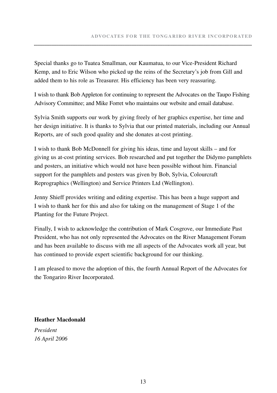Special thanks go to Tuatea Smallman, our Kaumatua, to our Vice-President Richard Kemp, and to Eric Wilson who picked up the reins of the Secretary's job from Gill and added them to his role as Treasurer. His efficiency has been very reassuring.

I wish to thank Bob Appleton for continuing to represent the Advocates on the Taupo Fishing Advisory Committee; and Mike Forret who maintains our website and email database.

Sylvia Smith supports our work by giving freely of her graphics expertise, her time and her design initiative. It is thanks to Sylvia that our printed materials, including our Annual Reports, are of such good quality and she donates at-cost printing.

I wish to thank Bob McDonnell for giving his ideas, time and layout skills – and for giving us at-cost printing services. Bob researched and put together the Didymo pamphlets and posters, an initiative which would not have been possible without him. Financial support for the pamphlets and posters was given by Bob, Sylvia, Colourcraft Reprographics (Wellington) and Service Printers Ltd (Wellington).

Jenny Shieff provides writing and editing expertise. This has been a huge support and I wish to thank her for this and also for taking on the management of Stage 1 of the Planting for the Future Project.

Finally, I wish to acknowledge the contribution of Mark Cosgrove, our Immediate Past President, who has not only represented the Advocates on the River Management Forum and has been available to discuss with me all aspects of the Advocates work all year, but has continued to provide expert scientific background for our thinking.

I am pleased to move the adoption of this, the fourth Annual Report of the Advocates for the Tongariro River Incorporated.

**Heather Macdonald**

*President 16 April 2006*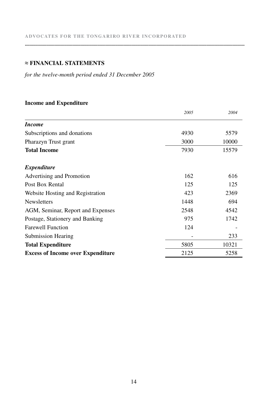#### **≈ FINANCIAL STATEMENTS**

*for the twelve-month period ended 31 December 2005*

#### **Income and Expenditure**

|                                          | 2005 | 2004  |
|------------------------------------------|------|-------|
| <i>Income</i>                            |      |       |
| Subscriptions and donations              | 4930 | 5579  |
| Pharazyn Trust grant                     | 3000 | 10000 |
| <b>Total Income</b>                      | 7930 | 15579 |
| <i>Expenditure</i>                       |      |       |
| Advertising and Promotion                | 162  | 616   |
| Post Box Rental                          | 125  | 125   |
| Website Hosting and Registration         | 423  | 2369  |
| <b>Newsletters</b>                       | 1448 | 694   |
| AGM, Seminar, Report and Expenses        | 2548 | 4542  |
| Postage, Stationery and Banking          | 975  | 1742  |
| <b>Farewell Function</b>                 | 124  |       |
| Submission Hearing                       |      | 233   |
| <b>Total Expenditure</b>                 | 5805 | 10321 |
| <b>Excess of Income over Expenditure</b> | 2125 | 5258  |

**.........................................................................................................................................................................................**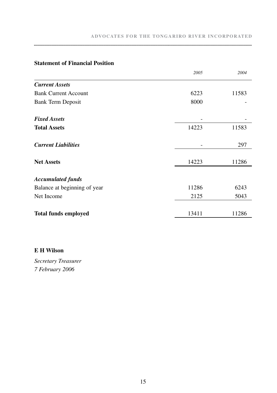|                              | 2005                     | 2004  |
|------------------------------|--------------------------|-------|
| <b>Current Assets</b>        |                          |       |
| <b>Bank Current Account</b>  | 6223                     | 11583 |
| Bank Term Deposit            | 8000                     |       |
| <b>Fixed Assets</b>          |                          |       |
| <b>Total Assets</b>          | 14223                    | 11583 |
| <b>Current Liabilities</b>   | $\overline{\phantom{a}}$ | 297   |
| <b>Net Assets</b>            | 14223                    | 11286 |
| <b>Accumulated funds</b>     |                          |       |
| Balance at beginning of year | 11286                    | 6243  |
| Net Income                   | 2125                     | 5043  |
| <b>Total funds employed</b>  | 13411                    | 11286 |

#### **Statement of Financial Position**

#### **E H Wilson**

*Secretary Treasurer 7 February 2006*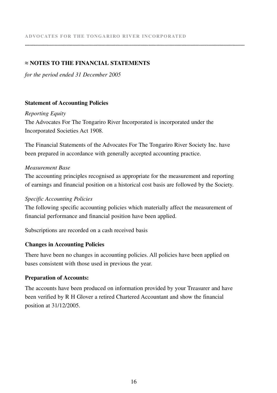#### **≈ NOTES TO THE FINANCIAL STATEMENTS**

*for the period ended 31 December 2005*

#### **Statement of Accounting Policies**

*Reporting Equity* The Advocates For The Tongariro River Incorporated is incorporated under the Incorporated Societies Act 1908.

The Financial Statements of the Advocates For The Tongariro River Society Inc. have been prepared in accordance with generally accepted accounting practice.

**.........................................................................................................................................................................................**

#### *Measurement Base*

The accounting principles recognised as appropriate for the measurement and reporting of earnings and financial position on a historical cost basis are followed by the Society.

#### *Specific Accounting Policies*

The following specific accounting policies which materially affect the measurement of financial performance and financial position have been applied.

Subscriptions are recorded on a cash received basis

#### **Changes in Accounting Policies**

There have been no changes in accounting policies. All policies have been applied on bases consistent with those used in previous the year.

#### **Preparation of Accounts:**

The accounts have been produced on information provided by your Treasurer and have been verified by R H Glover a retired Chartered Accountant and show the financial position at 31/12/2005.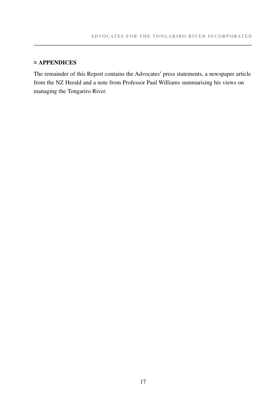#### **≈ APPENDICES**

The remainder of this Report contains the Advocates' press statements, a newspaper article from the NZ Herald and a note from Professor Paul Williams summarising his views on managing the Tongariro River.

**.........................................................................................................................................................................................**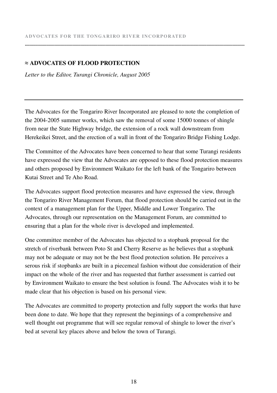#### **≈ ADVOCATES OF FLOOD PROTECTION**

*Letter to the Editor, Turangi Chronicle, August 2005*

The Advocates for the Tongariro River Incorporated are pleased to note the completion of the 2004-2005 summer works, which saw the removal of some 15000 tonnes of shingle from near the State Highway bridge, the extension of a rock wall downstream from Herekeikei Street, and the erection of a wall in front of the Tongariro Bridge Fishing Lodge.

**.........................................................................................................................................................................................**

The Committee of the Advocates have been concerned to hear that some Turangi residents have expressed the view that the Advocates are opposed to these flood protection measures and others proposed by Environment Waikato for the left bank of the Tongariro between Kutai Street and Te Aho Road.

The Advocates support flood protection measures and have expressed the view, through the Tongariro River Management Forum, that flood protection should be carried out in the context of a management plan for the Upper, Middle and Lower Tongariro. The Advocates, through our representation on the Management Forum, are committed to ensuring that a plan for the whole river is developed and implemented.

One committee member of the Advocates has objected to a stopbank proposal for the stretch of riverbank between Poto St and Cherry Reserve as he believes that a stopbank may not be adequate or may not be the best flood protection solution. He perceives a serous risk if stopbanks are built in a piecemeal fashion without due consideration of their impact on the whole of the river and has requested that further assessment is carried out by Environment Waikato to ensure the best solution is found. The Advocates wish it to be made clear that his objection is based on his personal view.

The Advocates are committed to property protection and fully support the works that have been done to date. We hope that they represent the beginnings of a comprehensive and well thought out programme that will see regular removal of shingle to lower the river's bed at several key places above and below the town of Turangi.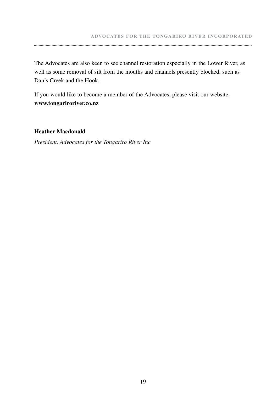The Advocates are also keen to see channel restoration especially in the Lower River, as well as some removal of silt from the mouths and channels presently blocked, such as Dan's Creek and the Hook.

**.........................................................................................................................................................................................**

If you would like to become a member of the Advocates, please visit our website, **www.tongariroriver.co.nz**

#### **Heather Macdonald**

*President, Advocates for the Tongariro River Inc*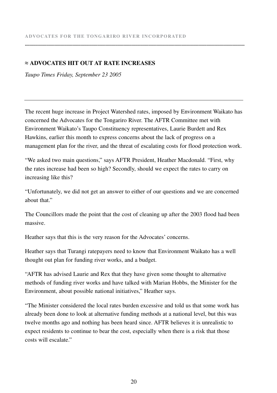#### **≈ ADVOCATES HIT OUT AT RATE INCREASES**

*Taupo Times Friday, September 23 2005*

The recent huge increase in Project Watershed rates, imposed by Environment Waikato has concerned the Advocates for the Tongariro River. The AFTR Committee met with Environment Waikato's Taupo Constituency representatives, Laurie Burdett and Rex Hawkins, earlier this month to express concerns about the lack of progress on a management plan for the river, and the threat of escalating costs for flood protection work.

**.........................................................................................................................................................................................**

"We asked two main questions," says AFTR President, Heather Macdonald. "First, why the rates increase had been so high? Secondly, should we expect the rates to carry on increasing like this?

"Unfortunately, we did not get an answer to either of our questions and we are concerned about that"

The Councillors made the point that the cost of cleaning up after the 2003 flood had been massive.

Heather says that this is the very reason for the Advocates' concerns.

Heather says that Turangi ratepayers need to know that Environment Waikato has a well thought out plan for funding river works, and a budget.

"AFTR has advised Laurie and Rex that they have given some thought to alternative methods of funding river works and have talked with Marian Hobbs, the Minister for the Environment, about possible national initiatives," Heather says.

"The Minister considered the local rates burden excessive and told us that some work has already been done to look at alternative funding methods at a national level, but this was twelve months ago and nothing has been heard since. AFTR believes it is unrealistic to expect residents to continue to bear the cost, especially when there is a risk that those costs will escalate"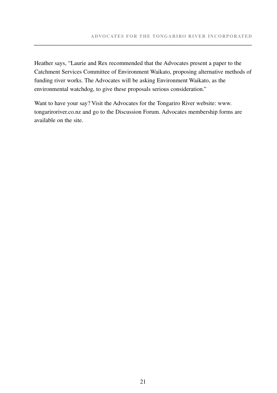Heather says, "Laurie and Rex recommended that the Advocates present a paper to the Catchment Services Committee of Environment Waikato, proposing alternative methods of funding river works. The Advocates will be asking Environment Waikato, as the environmental watchdog, to give these proposals serious consideration."

**.........................................................................................................................................................................................**

Want to have your say? Visit the Advocates for the Tongariro River website: www. tongariroriver.co.nz and go to the Discussion Forum. Advocates membership forms are available on the site.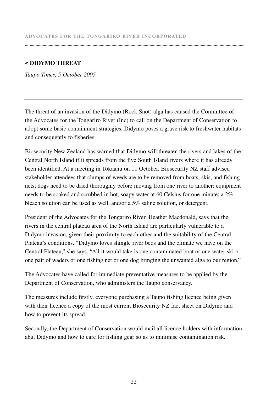#### **≈ DIDYMO THREAT**

*Taupo Times, 5 October 2005*

The threat of an invasion of the Didymo (Rock Snot) alga has caused the Committee of the Advocates for the Tongariro River (Inc) to call on the Department of Conservation to adopt some basic containment strategies. Didymo poses a grave risk to freshwater habitats and consequently to fisheries.

**.........................................................................................................................................................................................**

Biosecurity New Zealand has warned that Didymo will threaten the rivers and lakes of the Central North Island if it spreads from the five South Island rivers where it has already been identified. At a meeting in Tokaanu on 11 October, Biosecurity NZ staff advised stakeholder attendees that clumps of weeds are to be removed from boats, skis, and fishing nets; dogs need to be dried thoroughly before moving from one river to another; equipment needs to be soaked and scrubbed in hot, soapy water at 60 Celsius for one minute; a 2% bleach solution can be used as well, and/or a 5% saline solution, or detergent.

President of the Advocates for the Tongariro River, Heather Macdonald, says that the rivers in the central plateau area of the North Island are particularly vulnerable to a Didymo invasion, given their proximity to each other and the suitability of the Central Plateau's conditions. "Didymo loves shingle river beds and the climate we have on the Central Plateau," she says. "All it would take is one contaminated boat or one water ski or one pair of waders or one fishing net or one dog bringing the unwanted alga to our region."

The Advocates have called for immediate preventative measures to be applied by the Department of Conservation, who administers the Taupo conservancy.

The measures include firstly, everyone purchasing a Taupo fishing licence being given with their licence a copy of the most current Biosecurity NZ fact sheet on Didymo and how to prevent its spread.

Secondly, the Department of Conservation would mail all licence holders with information abut Didymo and how to care for fishing gear so as to minimise contamination risk.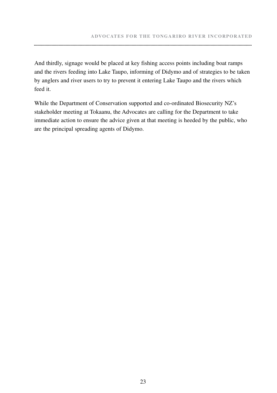And thirdly, signage would be placed at key fishing access points including boat ramps and the rivers feeding into Lake Taupo, informing of Didymo and of strategies to be taken by anglers and river users to try to prevent it entering Lake Taupo and the rivers which feed it.

While the Department of Conservation supported and co-ordinated Biosecurity NZ's stakeholder meeting at Tokaanu, the Advocates are calling for the Department to take immediate action to ensure the advice given at that meeting is heeded by the public, who are the principal spreading agents of Didymo.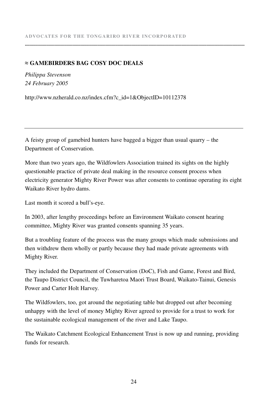#### **≈ GAMEBIRDERS BAG COSY DOC DEALS**

*Philippa Stevenson 24 February 2005*

http://www.nzherald.co.nz/index.cfm?c\_id=1&ObjectID=10112378

A feisty group of gamebird hunters have bagged a bigger than usual quarry – the Department of Conservation.

More than two years ago, the Wildfowlers Association trained its sights on the highly questionable practice of private deal making in the resource consent process when electricity generator Mighty River Power was after consents to continue operating its eight Waikato River hydro dams.

**.........................................................................................................................................................................................**

Last month it scored a bull's-eye.

In 2003, after lengthy proceedings before an Environment Waikato consent hearing committee, Mighty River was granted consents spanning 35 years.

But a troubling feature of the process was the many groups which made submissions and then withdrew them wholly or partly because they had made private agreements with Mighty River.

They included the Department of Conservation (DoC), Fish and Game, Forest and Bird, the Taupo District Council, the Tuwharetoa Maori Trust Board, Waikato-Tainui, Genesis Power and Carter Holt Harvey.

The Wildfowlers, too, got around the negotiating table but dropped out after becoming unhappy with the level of money Mighty River agreed to provide for a trust to work for the sustainable ecological management of the river and Lake Taupo.

The Waikato Catchment Ecological Enhancement Trust is now up and running, providing funds for research.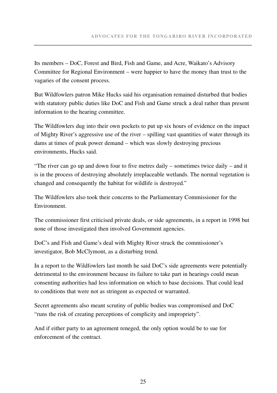Its members – DoC, Forest and Bird, Fish and Game, and Acre, Waikato's Advisory Committee for Regional Environment – were happier to have the money than trust to the vagaries of the consent process.

But Wildfowlers patron Mike Hucks said his organisation remained disturbed that bodies with statutory public duties like DoC and Fish and Game struck a deal rather than present information to the hearing committee.

The Wildfowlers dug into their own pockets to put up six hours of evidence on the impact of Mighty River's aggressive use of the river – spilling vast quantities of water through its dams at times of peak power demand – which was slowly destroying precious environments, Hucks said.

"The river can go up and down four to five metres daily – sometimes twice daily – and it is in the process of destroying absolutely irreplaceable wetlands. The normal vegetation is changed and consequently the habitat for wildlife is destroyed."

The Wildfowlers also took their concerns to the Parliamentary Commissioner for the Environment.

The commissioner first criticised private deals, or side agreements, in a report in 1998 but none of those investigated then involved Government agencies.

DoC's and Fish and Game's deal with Mighty River struck the commissioner's investigator, Bob McClymont, as a disturbing trend.

In a report to the Wildfowlers last month he said DoC's side agreements were potentially detrimental to the environment because its failure to take part in hearings could mean consenting authorities had less information on which to base decisions. That could lead to conditions that were not as stringent as expected or warranted.

Secret agreements also meant scrutiny of public bodies was compromised and DoC "runs the risk of creating perceptions of complicity and impropriety".

And if either party to an agreement reneged, the only option would be to sue for enforcement of the contract.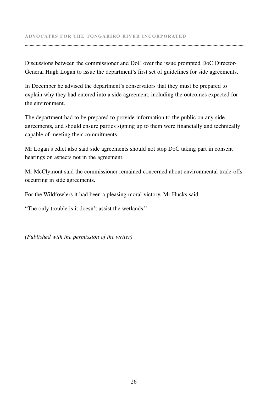Discussions between the commissioner and DoC over the issue prompted DoC Director-General Hugh Logan to issue the department's first set of guidelines for side agreements.

**.........................................................................................................................................................................................**

In December he advised the department's conservators that they must be prepared to explain why they had entered into a side agreement, including the outcomes expected for the environment.

The department had to be prepared to provide information to the public on any side agreements, and should ensure parties signing up to them were financially and technically capable of meeting their commitments.

Mr Logan's edict also said side agreements should not stop DoC taking part in consent hearings on aspects not in the agreement.

Mr McClymont said the commissioner remained concerned about environmental trade-offs occurring in side agreements.

For the Wildfowlers it had been a pleasing moral victory, Mr Hucks said.

"The only trouble is it doesn't assist the wetlands."

*(Published with the permission of the writer)*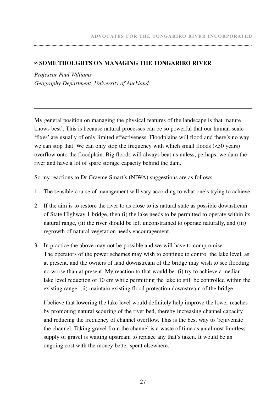#### **≈ SOME THOUGHTS ON MANAGING THE TONGARIRO RIVER**

*Professor Paul Williams Geography Department, University of Auckland*

My general position on managing the physical features of the landscape is that 'nature knows best'. This is because natural processes can be so powerful that our human-scale 'fixes' are usually of only limited effectiveness. Floodplains will flood and there's no way we can stop that. We can only stop the frequency with which small floods (<50 years) overflow onto the floodplain. Big floods will always beat us unless, perhaps, we dam the river and have a lot of spare storage capacity behind the dam.

**.........................................................................................................................................................................................**

So my reactions to Dr Graeme Smart's (NIWA) suggestions are as follows:

- 1. The sensible course of management will vary according to what one's trying to achieve.
- 2. If the aim is to restore the river to as close to its natural state as possible downstream of State Highway 1 bridge, then (i) the lake needs to be permitted to operate within its natural range, (ii) the river should be left unconstrained to operate naturally, and (iii) regrowth of natural vegetation needs encouragement.
- 3. In practice the above may not be possible and we will have to compromise. The operators of the power schemes may wish to continue to control the lake level, as at present, and the owners of land downstream of the bridge may wish to see flooding no worse than at present. My reaction to that would be: (i) try to achieve a median lake level reduction of 10 cm while permitting the lake to still be controlled within the existing range. (ii) maintain existing flood protection downstream of the bridge.

 I believe that lowering the lake level would definitely help improve the lower reaches by promoting natural scouring of the river bed, thereby increasing channel capacity and reducing the frequency of channel overflow. This is the best way to 'rejuvenate' the channel. Taking gravel from the channel is a waste of time as an almost limitless supply of gravel is waiting upstream to replace any that's taken. It would be an ongoing cost with the money better spent elsewhere.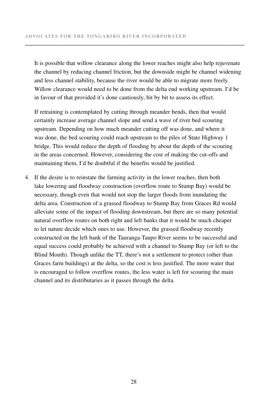It is possible that willow clearance along the lower reaches might also help rejuvenate the channel by reducing channel friction, but the downside might be channel widening and less channel stability, because the river would be able to migrate more freely. Willow clearance would need to be done from the delta end working upstream. I'd be in favour of that provided it's done cautiously, bit by bit to assess its effect.

**.........................................................................................................................................................................................**

 If retraining is contemplated by cutting through meander bends, then that would certainly increase average channel slope and send a wave of river bed scouring upstream. Depending on how much meander cutting off was done, and where it was done, the bed scouring could reach upstream to the piles of State Highway 1 bridge. This would reduce the depth of flooding by about the depth of the scouring in the areas concerned. However, considering the cost of making the cut-offs and maintaining them, I'd be doubtful if the benefits would be justified.

4. If the desire is to reinstate the farming activity in the lower reaches, then both lake lowering and floodway construction (overflow route to Stump Bay) would be necessary, though even that would not stop the larger floods from inundating the delta area. Construction of a grassed floodway to Stump Bay from Graces Rd would alleviate some of the impact of flooding downstream, but there are so many potential natural overflow routes on both right and left banks that it would be much cheaper to let nature decide which ones to use. However, the grassed floodway recently constructed on the left bank of the Tauranga-Taupo River seems to be successful and equal success could probably be achieved with a channel to Stump Bay (or left to the Blind Mouth). Though unlike the TT, there's not a settlement to protect (other than Graces farm buildings) at the delta, so the cost is less justified. The more water that is encouraged to follow overflow routes, the less water is left for scouring the main channel and its distributaries as it passes through the delta.